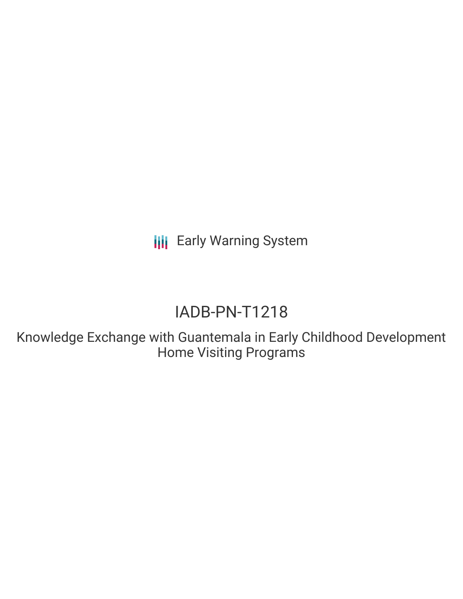**III** Early Warning System

# IADB-PN-T1218

Knowledge Exchange with Guantemala in Early Childhood Development Home Visiting Programs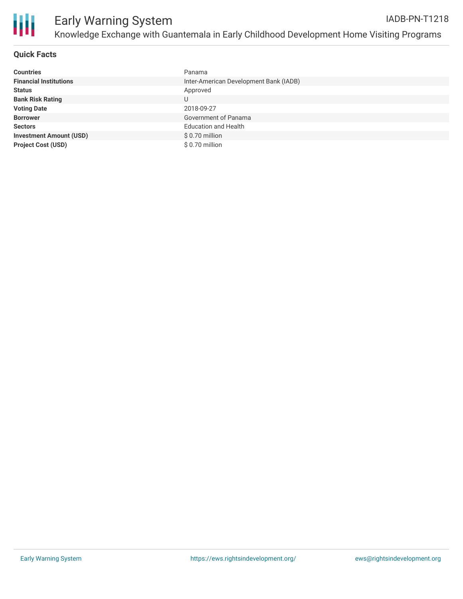

#### **Quick Facts**

| <b>Countries</b>               | Panama                                 |
|--------------------------------|----------------------------------------|
| <b>Financial Institutions</b>  | Inter-American Development Bank (IADB) |
| <b>Status</b>                  | Approved                               |
| <b>Bank Risk Rating</b>        | U                                      |
| <b>Voting Date</b>             | 2018-09-27                             |
| <b>Borrower</b>                | Government of Panama                   |
| <b>Sectors</b>                 | <b>Education and Health</b>            |
| <b>Investment Amount (USD)</b> | $$0.70$ million                        |
| <b>Project Cost (USD)</b>      | \$0.70 million                         |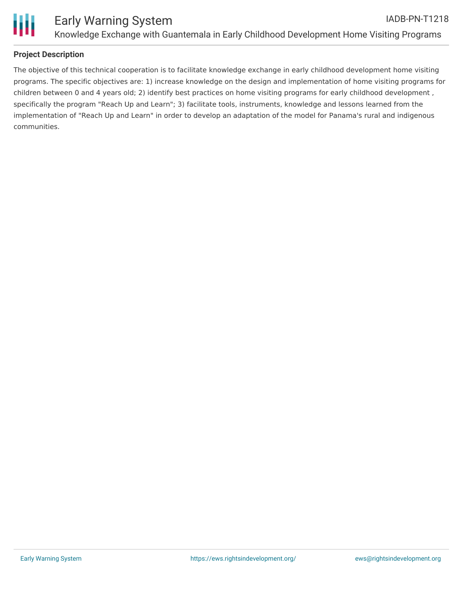

#### **Project Description**

The objective of this technical cooperation is to facilitate knowledge exchange in early childhood development home visiting programs. The specific objectives are: 1) increase knowledge on the design and implementation of home visiting programs for children between 0 and 4 years old; 2) identify best practices on home visiting programs for early childhood development , specifically the program "Reach Up and Learn"; 3) facilitate tools, instruments, knowledge and lessons learned from the implementation of "Reach Up and Learn" in order to develop an adaptation of the model for Panama's rural and indigenous communities.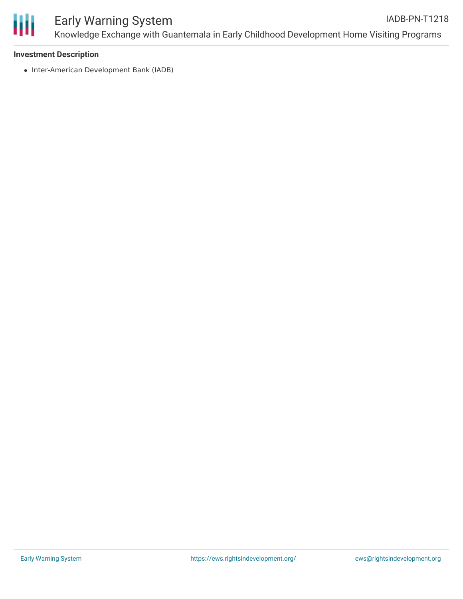

#### **Investment Description**

• Inter-American Development Bank (IADB)